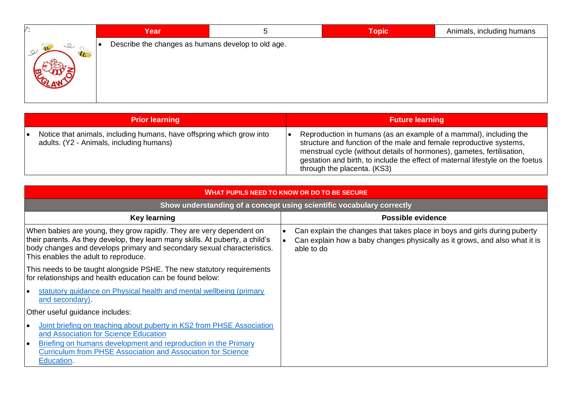|           | Year                                               | C | <b>Topic</b> | Animals, including humans |
|-----------|----------------------------------------------------|---|--------------|---------------------------|
| <b>IC</b> | Describe the changes as humans develop to old age. |   |              |                           |

|    | <b>Prior learning</b>                                                                                             | <b>Future learning</b>                                                                                                                                                                                                                                                                                                              |
|----|-------------------------------------------------------------------------------------------------------------------|-------------------------------------------------------------------------------------------------------------------------------------------------------------------------------------------------------------------------------------------------------------------------------------------------------------------------------------|
| le | Notice that animals, including humans, have offspring which grow into<br>adults. (Y2 - Animals, including humans) | Reproduction in humans (as an example of a mammal), including the<br>structure and function of the male and female reproductive systems,<br>menstrual cycle (without details of hormones), gametes, fertilisation,<br>gestation and birth, to include the effect of maternal lifestyle on the foetus<br>through the placenta. (KS3) |

| <b>WHAT PUPILS NEED TO KNOW OR DO TO BE SECURE</b>                                                                                                                                                                                                                                |                                                                                                                                                                       |  |  |  |  |  |
|-----------------------------------------------------------------------------------------------------------------------------------------------------------------------------------------------------------------------------------------------------------------------------------|-----------------------------------------------------------------------------------------------------------------------------------------------------------------------|--|--|--|--|--|
| Show understanding of a concept using scientific vocabulary correctly                                                                                                                                                                                                             |                                                                                                                                                                       |  |  |  |  |  |
| <b>Key learning</b>                                                                                                                                                                                                                                                               | <b>Possible evidence</b>                                                                                                                                              |  |  |  |  |  |
| When babies are young, they grow rapidly. They are very dependent on<br>their parents. As they develop, they learn many skills. At puberty, a child's<br>body changes and develops primary and secondary sexual characteristics.<br>This enables the adult to reproduce.          | Can explain the changes that takes place in boys and girls during puberty<br>Can explain how a baby changes physically as it grows, and also what it is<br>able to do |  |  |  |  |  |
| This needs to be taught alongside PSHE. The new statutory requirements<br>for relationships and health education can be found below:                                                                                                                                              |                                                                                                                                                                       |  |  |  |  |  |
| statutory guidance on Physical health and mental wellbeing (primary<br>and secondary).                                                                                                                                                                                            |                                                                                                                                                                       |  |  |  |  |  |
| Other useful guidance includes:                                                                                                                                                                                                                                                   |                                                                                                                                                                       |  |  |  |  |  |
| Joint briefing on teaching about puberty in KS2 from PHSE Association<br>lo<br>and Association for Science Education<br>Briefing on humans development and reproduction in the Primary<br>I۰<br><b>Curriculum from PHSE Association and Association for Science</b><br>Education. |                                                                                                                                                                       |  |  |  |  |  |